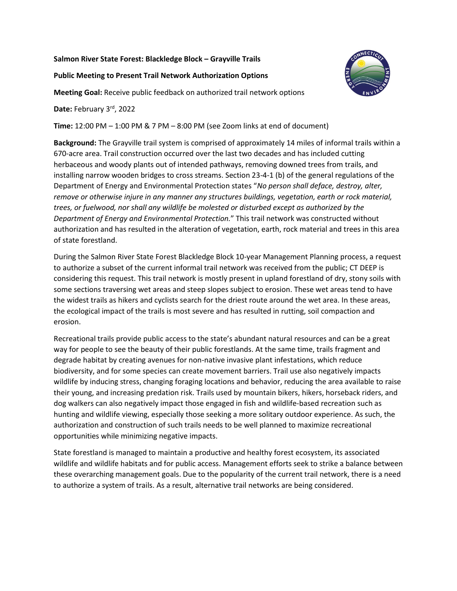## **Salmon River State Forest: Blackledge Block – Grayville Trails**

## **Public Meeting to Present Trail Network Authorization Options**

**Meeting Goal:** Receive public feedback on authorized trail network options

**Date:** February 3rd, 2022

**Time:** 12:00 PM – 1:00 PM & 7 PM – 8:00 PM (see Zoom links at end of document)

**Background:** The Grayville trail system is comprised of approximately 14 miles of informal trails within a 670-acre area. Trail construction occurred over the last two decades and has included cutting herbaceous and woody plants out of intended pathways, removing downed trees from trails, and installing narrow wooden bridges to cross streams. Section 23-4-1 (b) of the general regulations of the Department of Energy and Environmental Protection states "*No person shall deface, destroy, alter, remove or otherwise injure in any manner any structures buildings, vegetation, earth or rock material, trees, or fuelwood, nor shall any wildlife be molested or disturbed except as authorized by the Department of Energy and Environmental Protection.*" This trail network was constructed without authorization and has resulted in the alteration of vegetation, earth, rock material and trees in this area of state forestland.

During the Salmon River State Forest Blackledge Block 10-year Management Planning process, a request to authorize a subset of the current informal trail network was received from the public; CT DEEP is considering this request. This trail network is mostly present in upland forestland of dry, stony soils with some sections traversing wet areas and steep slopes subject to erosion. These wet areas tend to have the widest trails as hikers and cyclists search for the driest route around the wet area. In these areas, the ecological impact of the trails is most severe and has resulted in rutting, soil compaction and erosion.

Recreational trails provide public access to the state's abundant natural resources and can be a great way for people to see the beauty of their public forestlands. At the same time, trails fragment and degrade habitat by creating avenues for non-native invasive plant infestations, which reduce biodiversity, and for some species can create movement barriers. Trail use also negatively impacts wildlife by inducing stress, changing foraging locations and behavior, reducing the area available to raise their young, and increasing predation risk. Trails used by mountain bikers, hikers, horseback riders, and dog walkers can also negatively impact those engaged in fish and wildlife-based recreation such as hunting and wildlife viewing, especially those seeking a more solitary outdoor experience. As such, the authorization and construction of such trails needs to be well planned to maximize recreational opportunities while minimizing negative impacts.

State forestland is managed to maintain a productive and healthy forest ecosystem, its associated wildlife and wildlife habitats and for public access. Management efforts seek to strike a balance between these overarching management goals. Due to the popularity of the current trail network, there is a need to authorize a system of trails. As a result, alternative trail networks are being considered.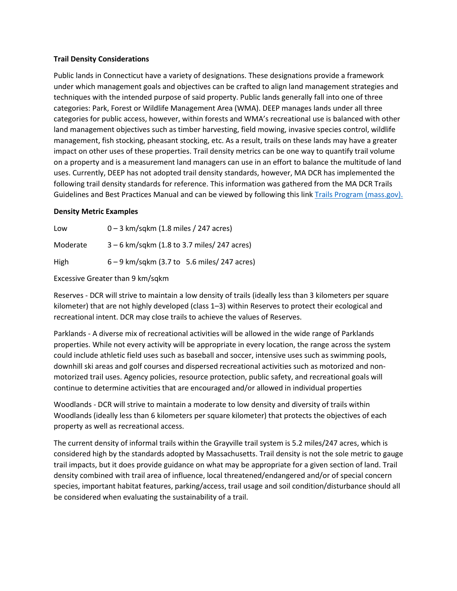## **Trail Density Considerations**

Public lands in Connecticut have a variety of designations. These designations provide a framework under which management goals and objectives can be crafted to align land management strategies and techniques with the intended purpose of said property. Public lands generally fall into one of three categories: Park, Forest or Wildlife Management Area (WMA). DEEP manages lands under all three categories for public access, however, within forests and WMA's recreational use is balanced with other land management objectives such as timber harvesting, field mowing, invasive species control, wildlife management, fish stocking, pheasant stocking, etc. As a result, trails on these lands may have a greater impact on other uses of these properties. Trail density metrics can be one way to quantify trail volume on a property and is a measurement land managers can use in an effort to balance the multitude of land uses. Currently, DEEP has not adopted trail density standards, however, MA DCR has implemented the following trail density standards for reference. This information was gathered from the MA DCR Trails Guidelines and Best Practices Manual and can be viewed by following this link [Trails Program \(mass.gov\).](https://www.mass.gov/doc/dcr-trails-guidelines-and-best-practices-manual/download)

### **Density Metric Examples**

| Low      | $0 - 3$ km/sqkm (1.8 miles / 247 acres)       |
|----------|-----------------------------------------------|
| Moderate | $3 - 6$ km/sqkm (1.8 to 3.7 miles/ 247 acres) |
| High     | $6 - 9$ km/sqkm (3.7 to 5.6 miles/ 247 acres) |

Excessive Greater than 9 km/sqkm

Reserves - DCR will strive to maintain a low density of trails (ideally less than 3 kilometers per square kilometer) that are not highly developed (class 1–3) within Reserves to protect their ecological and recreational intent. DCR may close trails to achieve the values of Reserves.

Parklands - A diverse mix of recreational activities will be allowed in the wide range of Parklands properties. While not every activity will be appropriate in every location, the range across the system could include athletic field uses such as baseball and soccer, intensive uses such as swimming pools, downhill ski areas and golf courses and dispersed recreational activities such as motorized and non‐ motorized trail uses. Agency policies, resource protection, public safety, and recreational goals will continue to determine activities that are encouraged and/or allowed in individual properties

Woodlands - DCR will strive to maintain a moderate to low density and diversity of trails within Woodlands (ideally less than 6 kilometers per square kilometer) that protects the objectives of each property as well as recreational access.

The current density of informal trails within the Grayville trail system is 5.2 miles/247 acres, which is considered high by the standards adopted by Massachusetts. Trail density is not the sole metric to gauge trail impacts, but it does provide guidance on what may be appropriate for a given section of land. Trail density combined with trail area of influence, local threatened/endangered and/or of special concern species, important habitat features, parking/access, trail usage and soil condition/disturbance should all be considered when evaluating the sustainability of a trail.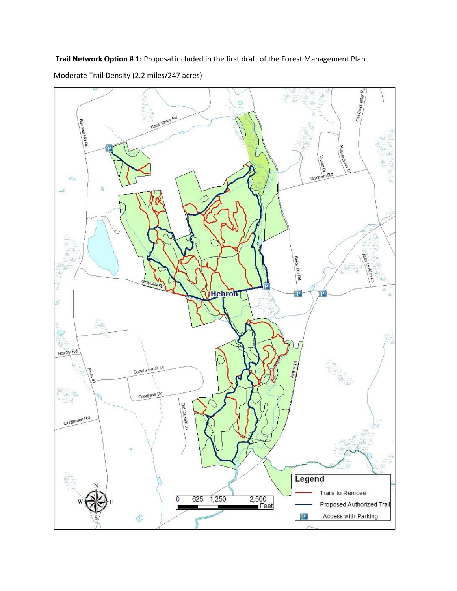Old Colchester Ra Ō **Alley Rd** Burows Hill Rd HOPE **Attawar** Uncasa  $\frac{1}{a}$ <sub>mRd</sub> North  $\ddot{\circ}$ ä. ø V. Related Hill Rd **RIVERLY** Hebron  $\overline{P}$  $\boxed{\mathsf{P}}$ Ď  $\overline{\mathbb{Q}}$ Hoa dly Rd Airline Tri Senate Brook Dr Congress Dr old Bachelo Lo Chitenden Rd Legend Trails to Remove 625 1,250  $2,500$ <br>Feet 0 Proposed Authorized Trail Access with Parking  $\mathcal{C}$  $\boxed{\mathsf{P}}$ 

**Trail Network Option # 1:** Proposal included in the first draft of the Forest Management Plan

Moderate Trail Density (2.2 miles/247 acres)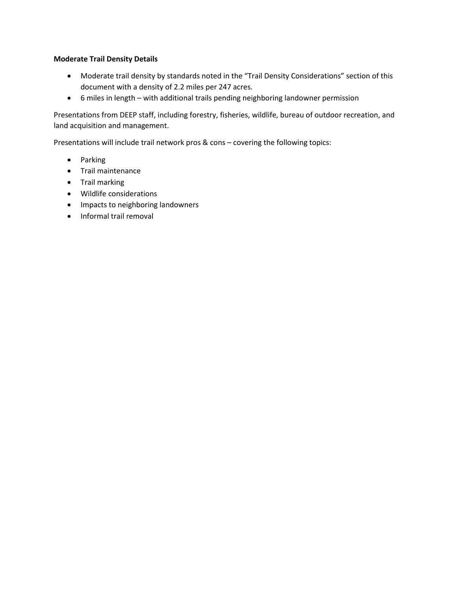# **Moderate Trail Density Details**

- Moderate trail density by standards noted in the "Trail Density Considerations" section of this document with a density of 2.2 miles per 247 acres.
- 6 miles in length with additional trails pending neighboring landowner permission

Presentations from DEEP staff, including forestry, fisheries, wildlife, bureau of outdoor recreation, and land acquisition and management.

Presentations will include trail network pros & cons – covering the following topics:

- Parking
- Trail maintenance
- Trail marking
- Wildlife considerations
- Impacts to neighboring landowners
- Informal trail removal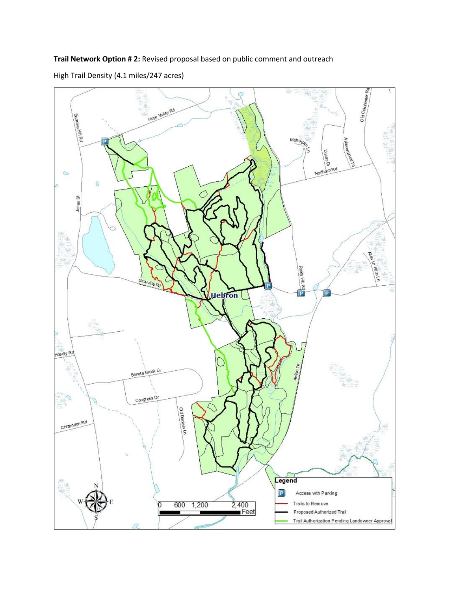**Trail Network Option # 2:** Revised proposal based on public comment and outreach



High Trail Density (4.1 miles/247 acres)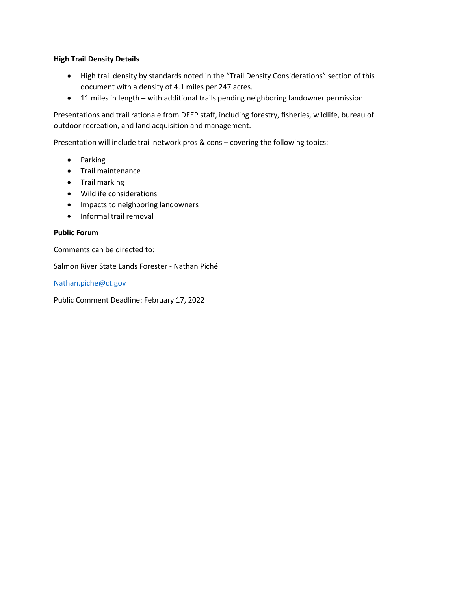# **High Trail Density Details**

- High trail density by standards noted in the "Trail Density Considerations" section of this document with a density of 4.1 miles per 247 acres.
- 11 miles in length with additional trails pending neighboring landowner permission

Presentations and trail rationale from DEEP staff, including forestry, fisheries, wildlife, bureau of outdoor recreation, and land acquisition and management.

Presentation will include trail network pros & cons – covering the following topics:

- Parking
- Trail maintenance
- Trail marking
- Wildlife considerations
- Impacts to neighboring landowners
- Informal trail removal

# **Public Forum**

Comments can be directed to:

Salmon River State Lands Forester - Nathan Piché

[Nathan.piche@ct.gov](mailto:Nathan.piche@ct.gov)

Public Comment Deadline: February 17, 2022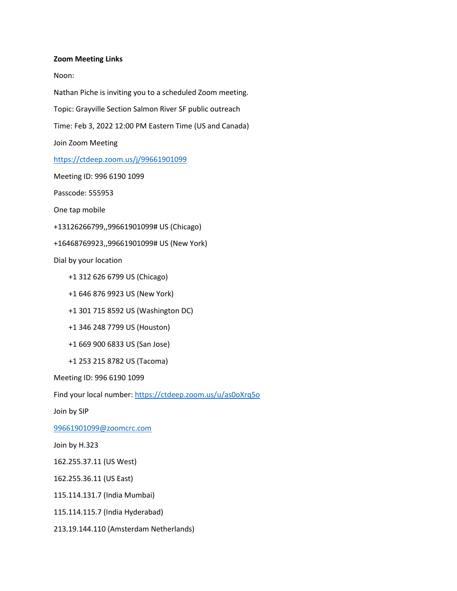#### **Zoom Meeting Links**

Noon:

Nathan Piche is inviting you to a scheduled Zoom meeting. Topic: Grayville Section Salmon River SF public outreach Time: Feb 3, 2022 12:00 PM Eastern Time (US and Canada) Join Zoom Meeting <https://ctdeep.zoom.us/j/99661901099> Meeting ID: 996 6190 1099 Passcode: 555953 One tap mobile +13126266799,,99661901099# US (Chicago) +16468769923,,99661901099# US (New York) Dial by your location +1 312 626 6799 US (Chicago) +1 646 876 9923 US (New York) +1 301 715 8592 US (Washington DC) +1 346 248 7799 US (Houston) +1 669 900 6833 US (San Jose) +1 253 215 8782 US (Tacoma) Meeting ID: 996 6190 1099 Find your local number[: https://ctdeep.zoom.us/u/as0oXrq5o](https://ctdeep.zoom.us/u/as0oXrq5o) Join by SIP [99661901099@zoomcrc.com](mailto:99661901099@zoomcrc.com) Join by H.323

162.255.37.11 (US West)

162.255.36.11 (US East)

115.114.131.7 (India Mumbai)

115.114.115.7 (India Hyderabad)

213.19.144.110 (Amsterdam Netherlands)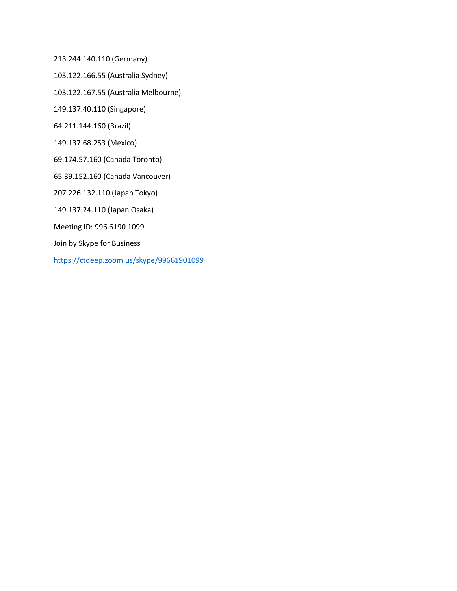213.244.140.110 (Germany)

103.122.166.55 (Australia Sydney)

103.122.167.55 (Australia Melbourne)

149.137.40.110 (Singapore)

64.211.144.160 (Brazil)

149.137.68.253 (Mexico)

69.174.57.160 (Canada Toronto)

65.39.152.160 (Canada Vancouver)

207.226.132.110 (Japan Tokyo)

149.137.24.110 (Japan Osaka)

Meeting ID: 996 6190 1099

Join by Skype for Business

<https://ctdeep.zoom.us/skype/99661901099>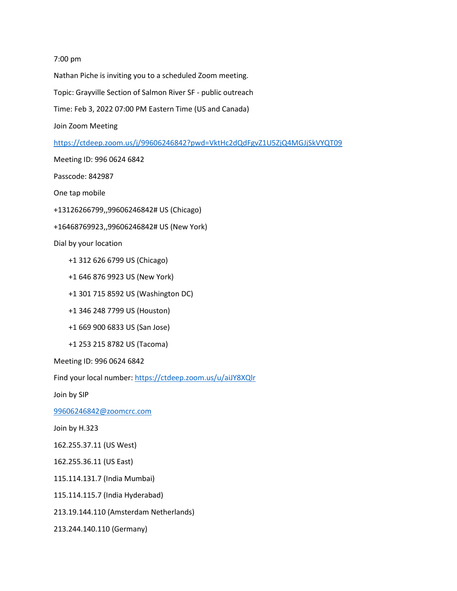#### 7:00 pm

Nathan Piche is inviting you to a scheduled Zoom meeting.

Topic: Grayville Section of Salmon River SF - public outreach

Time: Feb 3, 2022 07:00 PM Eastern Time (US and Canada)

Join Zoom Meeting

<https://ctdeep.zoom.us/j/99606246842?pwd=VktHc2dQdFgvZ1U5ZjQ4MGJjSkVYQT09>

Meeting ID: 996 0624 6842

Passcode: 842987

One tap mobile

+13126266799,,99606246842# US (Chicago)

+16468769923,,99606246842# US (New York)

Dial by your location

+1 312 626 6799 US (Chicago)

- +1 646 876 9923 US (New York)
- +1 301 715 8592 US (Washington DC)
- +1 346 248 7799 US (Houston)
- +1 669 900 6833 US (San Jose)
- +1 253 215 8782 US (Tacoma)

Meeting ID: 996 0624 6842

Find your local number[: https://ctdeep.zoom.us/u/aiJY8XQlr](https://ctdeep.zoom.us/u/aiJY8XQlr)

Join by SIP

[99606246842@zoomcrc.com](mailto:99606246842@zoomcrc.com)

Join by H.323

162.255.37.11 (US West)

162.255.36.11 (US East)

115.114.131.7 (India Mumbai)

115.114.115.7 (India Hyderabad)

213.19.144.110 (Amsterdam Netherlands)

213.244.140.110 (Germany)